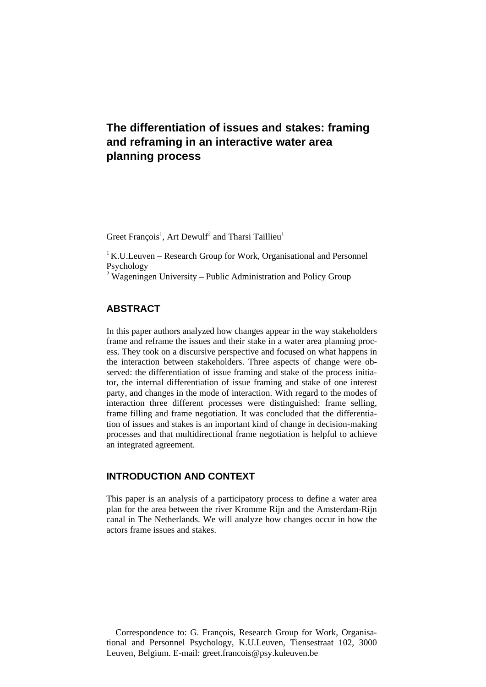# **The differentiation of issues and stakes: framing and reframing in an interactive water area planning process**

Greet François<sup>1</sup>, Art Dewulf<sup>2</sup> and Tharsi Taillieu<sup>1</sup>

 $1$  K.U.Leuven – Research Group for Work, Organisational and Personnel Psychology

 $2$  Wageningen University – Public Administration and Policy Group

## **ABSTRACT**

In this paper authors analyzed how changes appear in the way stakeholders frame and reframe the issues and their stake in a water area planning process. They took on a discursive perspective and focused on what happens in the interaction between stakeholders. Three aspects of change were observed: the differentiation of issue framing and stake of the process initiator, the internal differentiation of issue framing and stake of one interest party, and changes in the mode of interaction. With regard to the modes of interaction three different processes were distinguished: frame selling, frame filling and frame negotiation. It was concluded that the differentiation of issues and stakes is an important kind of change in decision-making processes and that multidirectional frame negotiation is helpful to achieve an integrated agreement.

## **INTRODUCTION AND CONTEXT**

This paper is an analysis of a participatory process to define a water area plan for the area between the river Kromme Rijn and the Amsterdam-Rijn canal in The Netherlands. We will analyze how changes occur in how the actors frame issues and stakes.

Correspondence to: G. François, Research Group for Work, Organisational and Personnel Psychology, K.U.Leuven, Tiensestraat 102, 3000 Leuven, Belgium. E-mail: greet.francois@psy.kuleuven.be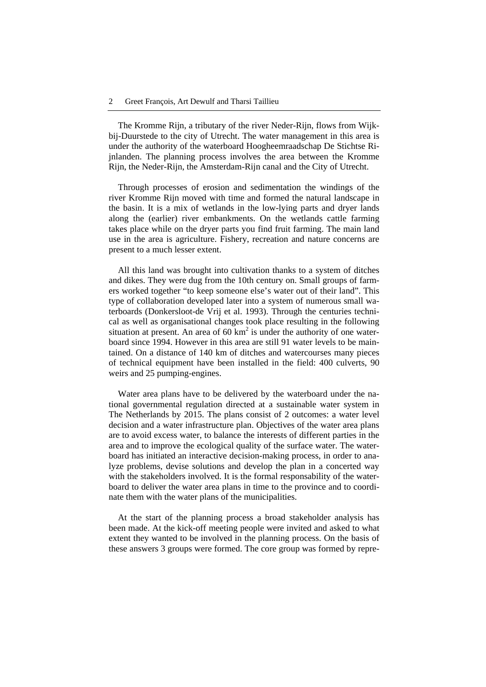The Kromme Rijn, a tributary of the river Neder-Rijn, flows from Wijkbij-Duurstede to the city of Utrecht. The water management in this area is under the authority of the waterboard Hoogheemraadschap De Stichtse Rijnlanden. The planning process involves the area between the Kromme Rijn, the Neder-Rijn, the Amsterdam-Rijn canal and the City of Utrecht.

Through processes of erosion and sedimentation the windings of the river Kromme Rijn moved with time and formed the natural landscape in the basin. It is a mix of wetlands in the low-lying parts and dryer lands along the (earlier) river embankments. On the wetlands cattle farming takes place while on the dryer parts you find fruit farming. The main land use in the area is agriculture. Fishery, recreation and nature concerns are present to a much lesser extent.

All this land was brought into cultivation thanks to a system of ditches and dikes. They were dug from the 10th century on. Small groups of farmers worked together "to keep someone else's water out of their land". This type of collaboration developed later into a system of numerous small waterboards (Donkersloot-de Vrij et al. 1993). Through the centuries technical as well as organisational changes took place resulting in the following situation at present. An area of  $60 \text{ km}^2$  is under the authority of one waterboard since 1994. However in this area are still 91 water levels to be maintained. On a distance of 140 km of ditches and watercourses many pieces of technical equipment have been installed in the field: 400 culverts, 90 weirs and 25 pumping-engines.

Water area plans have to be delivered by the waterboard under the national governmental regulation directed at a sustainable water system in The Netherlands by 2015. The plans consist of 2 outcomes: a water level decision and a water infrastructure plan. Objectives of the water area plans are to avoid excess water, to balance the interests of different parties in the area and to improve the ecological quality of the surface water. The waterboard has initiated an interactive decision-making process, in order to analyze problems, devise solutions and develop the plan in a concerted way with the stakeholders involved. It is the formal responsability of the waterboard to deliver the water area plans in time to the province and to coordinate them with the water plans of the municipalities.

At the start of the planning process a broad stakeholder analysis has been made. At the kick-off meeting people were invited and asked to what extent they wanted to be involved in the planning process. On the basis of these answers 3 groups were formed. The core group was formed by repre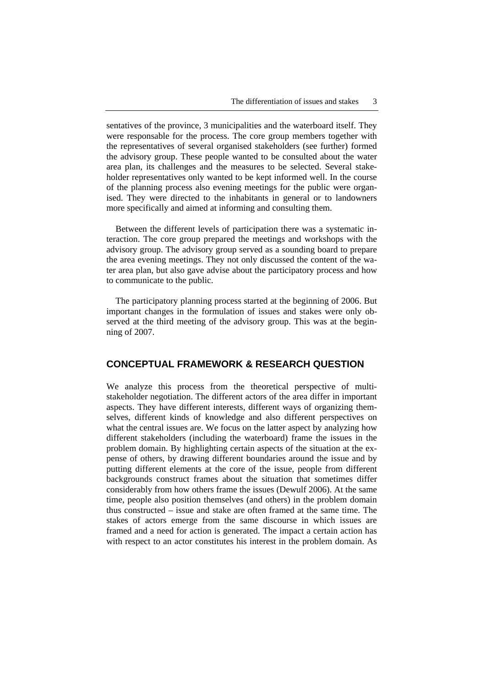sentatives of the province, 3 municipalities and the waterboard itself. They were responsable for the process. The core group members together with the representatives of several organised stakeholders (see further) formed the advisory group. These people wanted to be consulted about the water area plan, its challenges and the measures to be selected. Several stakeholder representatives only wanted to be kept informed well. In the course of the planning process also evening meetings for the public were organised. They were directed to the inhabitants in general or to landowners more specifically and aimed at informing and consulting them.

Between the different levels of participation there was a systematic interaction. The core group prepared the meetings and workshops with the advisory group. The advisory group served as a sounding board to prepare the area evening meetings. They not only discussed the content of the water area plan, but also gave advise about the participatory process and how to communicate to the public.

The participatory planning process started at the beginning of 2006. But important changes in the formulation of issues and stakes were only observed at the third meeting of the advisory group. This was at the beginning of 2007.

## **CONCEPTUAL FRAMEWORK & RESEARCH QUESTION**

We analyze this process from the theoretical perspective of multistakeholder negotiation. The different actors of the area differ in important aspects. They have different interests, different ways of organizing themselves, different kinds of knowledge and also different perspectives on what the central issues are. We focus on the latter aspect by analyzing how different stakeholders (including the waterboard) frame the issues in the problem domain. By highlighting certain aspects of the situation at the expense of others, by drawing different boundaries around the issue and by putting different elements at the core of the issue, people from different backgrounds construct frames about the situation that sometimes differ considerably from how others frame the issues (Dewulf 2006). At the same time, people also position themselves (and others) in the problem domain thus constructed – issue and stake are often framed at the same time. The stakes of actors emerge from the same discourse in which issues are framed and a need for action is generated. The impact a certain action has with respect to an actor constitutes his interest in the problem domain. As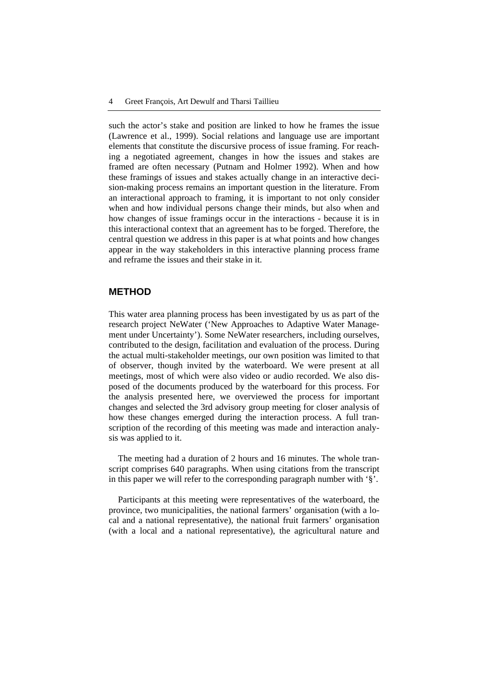such the actor's stake and position are linked to how he frames the issue (Lawrence et al., 1999). Social relations and language use are important elements that constitute the discursive process of issue framing. For reaching a negotiated agreement, changes in how the issues and stakes are framed are often necessary (Putnam and Holmer 1992). When and how these framings of issues and stakes actually change in an interactive decision-making process remains an important question in the literature. From an interactional approach to framing, it is important to not only consider when and how individual persons change their minds, but also when and how changes of issue framings occur in the interactions - because it is in this interactional context that an agreement has to be forged. Therefore, the central question we address in this paper is at what points and how changes appear in the way stakeholders in this interactive planning process frame and reframe the issues and their stake in it.

## **METHOD**

This water area planning process has been investigated by us as part of the research project NeWater ('New Approaches to Adaptive Water Management under Uncertainty'). Some NeWater researchers, including ourselves, contributed to the design, facilitation and evaluation of the process. During the actual multi-stakeholder meetings, our own position was limited to that of observer, though invited by the waterboard. We were present at all meetings, most of which were also video or audio recorded. We also disposed of the documents produced by the waterboard for this process. For the analysis presented here, we overviewed the process for important changes and selected the 3rd advisory group meeting for closer analysis of how these changes emerged during the interaction process. A full transcription of the recording of this meeting was made and interaction analysis was applied to it.

The meeting had a duration of 2 hours and 16 minutes. The whole transcript comprises 640 paragraphs. When using citations from the transcript in this paper we will refer to the corresponding paragraph number with '§'.

Participants at this meeting were representatives of the waterboard, the province, two municipalities, the national farmers' organisation (with a local and a national representative), the national fruit farmers' organisation (with a local and a national representative), the agricultural nature and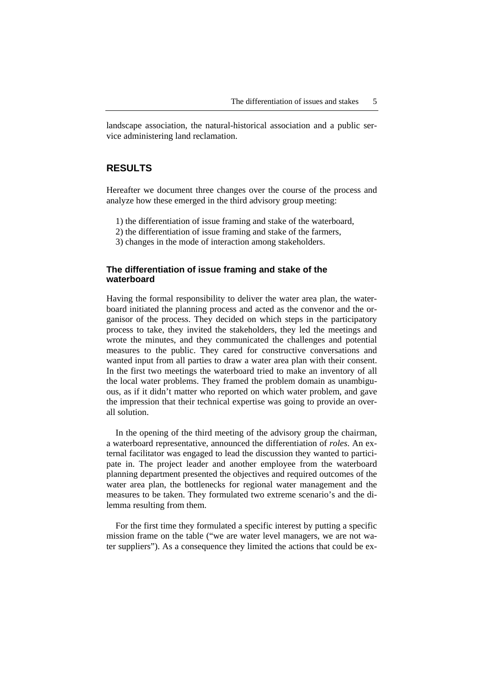landscape association, the natural-historical association and a public service administering land reclamation.

## **RESULTS**

Hereafter we document three changes over the course of the process and analyze how these emerged in the third advisory group meeting:

- 1) the differentiation of issue framing and stake of the waterboard,
- 2) the differentiation of issue framing and stake of the farmers,
- 3) changes in the mode of interaction among stakeholders.

#### **The differentiation of issue framing and stake of the waterboard**

Having the formal responsibility to deliver the water area plan, the waterboard initiated the planning process and acted as the convenor and the organisor of the process. They decided on which steps in the participatory process to take, they invited the stakeholders, they led the meetings and wrote the minutes, and they communicated the challenges and potential measures to the public. They cared for constructive conversations and wanted input from all parties to draw a water area plan with their consent. In the first two meetings the waterboard tried to make an inventory of all the local water problems. They framed the problem domain as unambiguous, as if it didn't matter who reported on which water problem, and gave the impression that their technical expertise was going to provide an overall solution.

In the opening of the third meeting of the advisory group the chairman, a waterboard representative, announced the differentiation of *roles*. An external facilitator was engaged to lead the discussion they wanted to participate in. The project leader and another employee from the waterboard planning department presented the objectives and required outcomes of the water area plan, the bottlenecks for regional water management and the measures to be taken. They formulated two extreme scenario's and the dilemma resulting from them.

For the first time they formulated a specific interest by putting a specific mission frame on the table ("we are water level managers, we are not water suppliers"). As a consequence they limited the actions that could be ex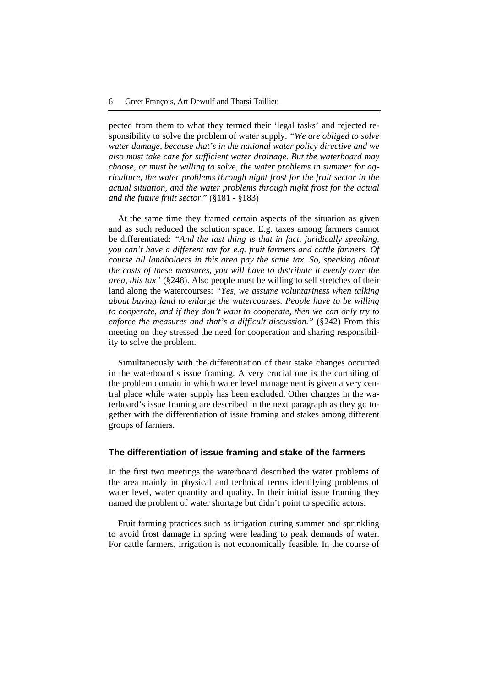pected from them to what they termed their 'legal tasks' and rejected responsibility to solve the problem of water supply. *"We are obliged to solve water damage, because that's in the national water policy directive and we also must take care for sufficient water drainage. But the waterboard may choose, or must be willing to solve, the water problems in summer for agriculture, the water problems through night frost for the fruit sector in the actual situation, and the water problems through night frost for the actual and the future fruit sector*." (§181 - §183)

At the same time they framed certain aspects of the situation as given and as such reduced the solution space. E.g. taxes among farmers cannot be differentiated: *"And the last thing is that in fact, juridically speaking, you can't have a different tax for e.g. fruit farmers and cattle farmers. Of course all landholders in this area pay the same tax. So, speaking about the costs of these measures, you will have to distribute it evenly over the area, this tax"* (§248). Also people must be willing to sell stretches of their land along the watercourses: *"Yes, we assume voluntariness when talking about buying land to enlarge the watercourses. People have to be willing to cooperate, and if they don't want to cooperate, then we can only try to enforce the measures and that's a difficult discussion."* (§242) From this meeting on they stressed the need for cooperation and sharing responsibility to solve the problem.

Simultaneously with the differentiation of their stake changes occurred in the waterboard's issue framing. A very crucial one is the curtailing of the problem domain in which water level management is given a very central place while water supply has been excluded. Other changes in the waterboard's issue framing are described in the next paragraph as they go together with the differentiation of issue framing and stakes among different groups of farmers.

#### **The differentiation of issue framing and stake of the farmers**

In the first two meetings the waterboard described the water problems of the area mainly in physical and technical terms identifying problems of water level, water quantity and quality. In their initial issue framing they named the problem of water shortage but didn't point to specific actors.

Fruit farming practices such as irrigation during summer and sprinkling to avoid frost damage in spring were leading to peak demands of water. For cattle farmers, irrigation is not economically feasible. In the course of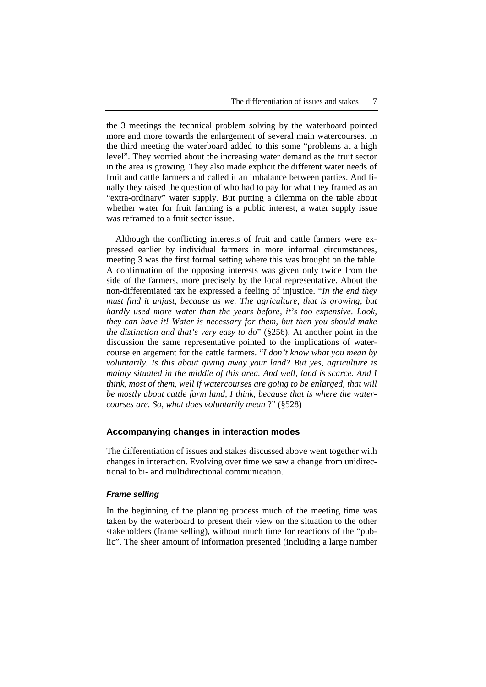the 3 meetings the technical problem solving by the waterboard pointed more and more towards the enlargement of several main watercourses. In the third meeting the waterboard added to this some "problems at a high level". They worried about the increasing water demand as the fruit sector in the area is growing. They also made explicit the different water needs of fruit and cattle farmers and called it an imbalance between parties. And finally they raised the question of who had to pay for what they framed as an "extra-ordinary" water supply. But putting a dilemma on the table about whether water for fruit farming is a public interest, a water supply issue was reframed to a fruit sector issue.

Although the conflicting interests of fruit and cattle farmers were expressed earlier by individual farmers in more informal circumstances, meeting 3 was the first formal setting where this was brought on the table. A confirmation of the opposing interests was given only twice from the side of the farmers, more precisely by the local representative. About the non-differentiated tax he expressed a feeling of injustice. "*In the end they must find it unjust, because as we. The agriculture, that is growing, but hardly used more water than the years before, it's too expensive. Look, they can have it! Water is necessary for them, but then you should make the distinction and that's very easy to do*" (§256). At another point in the discussion the same representative pointed to the implications of watercourse enlargement for the cattle farmers. "*I don't know what you mean by voluntarily. Is this about giving away your land? But yes, agriculture is mainly situated in the middle of this area. And well, land is scarce. And I think, most of them, well if watercourses are going to be enlarged, that will be mostly about cattle farm land, I think, because that is where the watercourses are. So, what does voluntarily mean* ?" (§528)

#### **Accompanying changes in interaction modes**

The differentiation of issues and stakes discussed above went together with changes in interaction. Evolving over time we saw a change from unidirectional to bi- and multidirectional communication.

#### *Frame selling*

In the beginning of the planning process much of the meeting time was taken by the waterboard to present their view on the situation to the other stakeholders (frame selling), without much time for reactions of the "public". The sheer amount of information presented (including a large number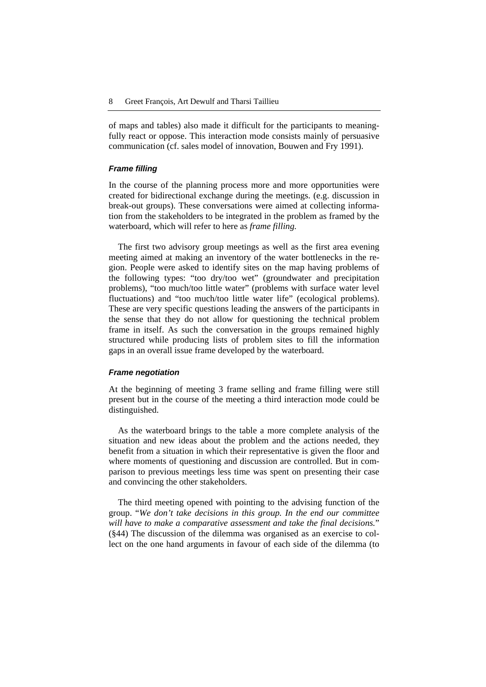of maps and tables) also made it difficult for the participants to meaningfully react or oppose. This interaction mode consists mainly of persuasive communication (cf. sales model of innovation, Bouwen and Fry 1991).

#### *Frame filling*

In the course of the planning process more and more opportunities were created for bidirectional exchange during the meetings. (e.g. discussion in break-out groups). These conversations were aimed at collecting information from the stakeholders to be integrated in the problem as framed by the waterboard, which will refer to here as *frame filling.*

The first two advisory group meetings as well as the first area evening meeting aimed at making an inventory of the water bottlenecks in the region. People were asked to identify sites on the map having problems of the following types: "too dry/too wet" (groundwater and precipitation problems), "too much/too little water" (problems with surface water level fluctuations) and "too much/too little water life" (ecological problems). These are very specific questions leading the answers of the participants in the sense that they do not allow for questioning the technical problem frame in itself. As such the conversation in the groups remained highly structured while producing lists of problem sites to fill the information gaps in an overall issue frame developed by the waterboard.

#### *Frame negotiation*

At the beginning of meeting 3 frame selling and frame filling were still present but in the course of the meeting a third interaction mode could be distinguished.

As the waterboard brings to the table a more complete analysis of the situation and new ideas about the problem and the actions needed, they benefit from a situation in which their representative is given the floor and where moments of questioning and discussion are controlled. But in comparison to previous meetings less time was spent on presenting their case and convincing the other stakeholders.

The third meeting opened with pointing to the advising function of the group. "*We don't take decisions in this group. In the end our committee will have to make a comparative assessment and take the final decisions.*" (§44) The discussion of the dilemma was organised as an exercise to collect on the one hand arguments in favour of each side of the dilemma (to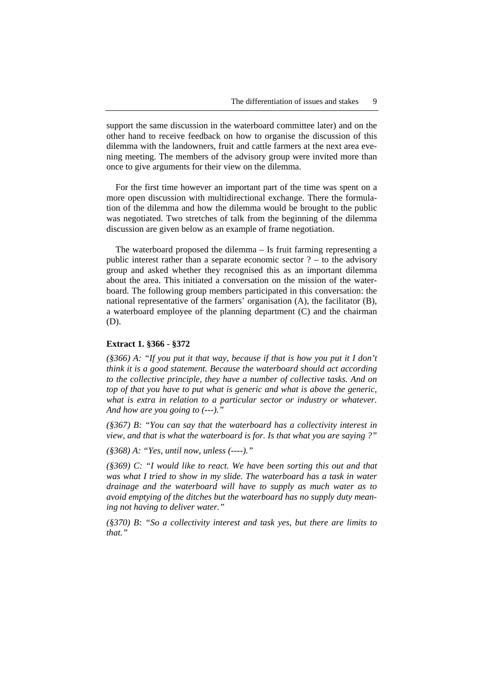support the same discussion in the waterboard committee later) and on the other hand to receive feedback on how to organise the discussion of this dilemma with the landowners, fruit and cattle farmers at the next area evening meeting. The members of the advisory group were invited more than once to give arguments for their view on the dilemma.

For the first time however an important part of the time was spent on a more open discussion with multidirectional exchange. There the formulation of the dilemma and how the dilemma would be brought to the public was negotiated. Two stretches of talk from the beginning of the dilemma discussion are given below as an example of frame negotiation.

The waterboard proposed the dilemma – Is fruit farming representing a public interest rather than a separate economic sector  $?$  – to the advisory group and asked whether they recognised this as an important dilemma about the area. This initiated a conversation on the mission of the waterboard. The following group members participated in this conversation: the national representative of the farmers' organisation (A), the facilitator (B), a waterboard employee of the planning department (C) and the chairman (D).

#### **Extract 1. §366 - §372**

*(§366) A: "If you put it that way, because if that is how you put it I don't think it is a good statement. Because the waterboard should act according to the collective principle, they have a number of collective tasks. And on top of that you have to put what is generic and what is above the generic, what is extra in relation to a particular sector or industry or whatever. And how are you going to (---)."* 

*(§367) B: "You can say that the waterboard has a collectivity interest in view, and that is what the waterboard is for. Is that what you are saying ?"* 

*(§368) A: "Yes, until now, unless (----)."* 

*(§369) C: "I would like to react. We have been sorting this out and that was what I tried to show in my slide. The waterboard has a task in water drainage and the waterboard will have to supply as much water as to avoid emptying of the ditches but the waterboard has no supply duty meaning not having to deliver water."* 

*(§370) B: "So a collectivity interest and task yes, but there are limits to that."*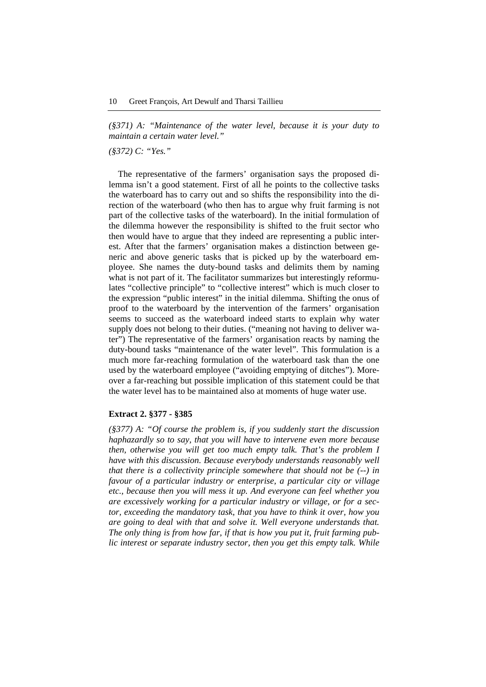*(§371) A: "Maintenance of the water level, because it is your duty to maintain a certain water level."* 

*(§372) C: "Yes."* 

The representative of the farmers' organisation says the proposed dilemma isn't a good statement. First of all he points to the collective tasks the waterboard has to carry out and so shifts the responsibility into the direction of the waterboard (who then has to argue why fruit farming is not part of the collective tasks of the waterboard). In the initial formulation of the dilemma however the responsibility is shifted to the fruit sector who then would have to argue that they indeed are representing a public interest. After that the farmers' organisation makes a distinction between generic and above generic tasks that is picked up by the waterboard employee. She names the duty-bound tasks and delimits them by naming what is not part of it. The facilitator summarizes but interestingly reformulates "collective principle" to "collective interest" which is much closer to the expression "public interest" in the initial dilemma. Shifting the onus of proof to the waterboard by the intervention of the farmers' organisation seems to succeed as the waterboard indeed starts to explain why water supply does not belong to their duties. ("meaning not having to deliver water") The representative of the farmers' organisation reacts by naming the duty-bound tasks "maintenance of the water level". This formulation is a much more far-reaching formulation of the waterboard task than the one used by the waterboard employee ("avoiding emptying of ditches"). Moreover a far-reaching but possible implication of this statement could be that the water level has to be maintained also at moments of huge water use.

#### **Extract 2. §377 - §385**

*(§377) A: "Of course the problem is, if you suddenly start the discussion haphazardly so to say, that you will have to intervene even more because then, otherwise you will get too much empty talk. That's the problem I have with this discussion. Because everybody understands reasonably well that there is a collectivity principle somewhere that should not be (--) in favour of a particular industry or enterprise, a particular city or village etc., because then you will mess it up. And everyone can feel whether you are excessively working for a particular industry or village, or for a sector, exceeding the mandatory task, that you have to think it over, how you are going to deal with that and solve it. Well everyone understands that. The only thing is from how far, if that is how you put it, fruit farming public interest or separate industry sector, then you get this empty talk. While*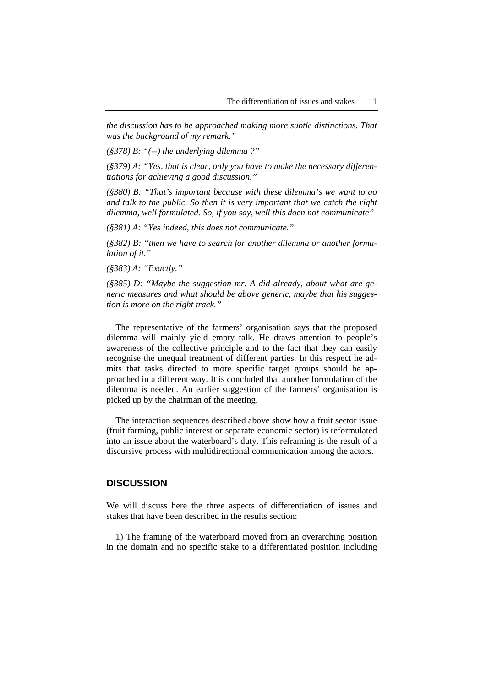*the discussion has to be approached making more subtle distinctions. That was the background of my remark."* 

*(§378) B: "(--) the underlying dilemma ?"* 

*(§379) A: "Yes, that is clear, only you have to make the necessary differentiations for achieving a good discussion."* 

*(§380) B: "That's important because with these dilemma's we want to go and talk to the public. So then it is very important that we catch the right dilemma, well formulated. So, if you say, well this doen not communicate"* 

*(§381) A: "Yes indeed, this does not communicate."* 

*(§382) B: "then we have to search for another dilemma or another formulation of it."* 

*(§383) A: "Exactly."* 

*(§385) D: "Maybe the suggestion mr. A did already, about what are generic measures and what should be above generic, maybe that his suggestion is more on the right track."* 

The representative of the farmers' organisation says that the proposed dilemma will mainly yield empty talk. He draws attention to people's awareness of the collective principle and to the fact that they can easily recognise the unequal treatment of different parties. In this respect he admits that tasks directed to more specific target groups should be approached in a different way. It is concluded that another formulation of the dilemma is needed. An earlier suggestion of the farmers' organisation is picked up by the chairman of the meeting.

The interaction sequences described above show how a fruit sector issue (fruit farming, public interest or separate economic sector) is reformulated into an issue about the waterboard's duty. This reframing is the result of a discursive process with multidirectional communication among the actors.

### **DISCUSSION**

We will discuss here the three aspects of differentiation of issues and stakes that have been described in the results section:

1) The framing of the waterboard moved from an overarching position in the domain and no specific stake to a differentiated position including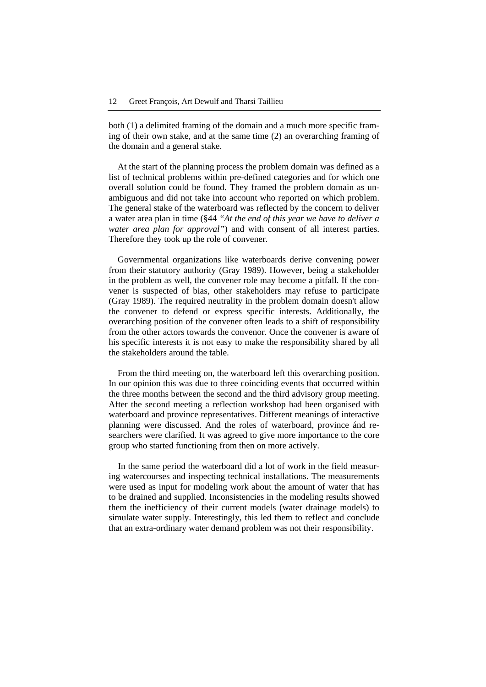both (1) a delimited framing of the domain and a much more specific framing of their own stake, and at the same time (2) an overarching framing of the domain and a general stake.

At the start of the planning process the problem domain was defined as a list of technical problems within pre-defined categories and for which one overall solution could be found. They framed the problem domain as unambiguous and did not take into account who reported on which problem. The general stake of the waterboard was reflected by the concern to deliver a water area plan in time (§44 *"At the end of this year we have to deliver a water area plan for approval"*) and with consent of all interest parties. Therefore they took up the role of convener.

Governmental organizations like waterboards derive convening power from their statutory authority (Gray 1989). However, being a stakeholder in the problem as well, the convener role may become a pitfall. If the convener is suspected of bias, other stakeholders may refuse to participate (Gray 1989). The required neutrality in the problem domain doesn't allow the convener to defend or express specific interests. Additionally, the overarching position of the convener often leads to a shift of responsibility from the other actors towards the convenor. Once the convener is aware of his specific interests it is not easy to make the responsibility shared by all the stakeholders around the table.

From the third meeting on, the waterboard left this overarching position. In our opinion this was due to three coinciding events that occurred within the three months between the second and the third advisory group meeting. After the second meeting a reflection workshop had been organised with waterboard and province representatives. Different meanings of interactive planning were discussed. And the roles of waterboard, province ánd researchers were clarified. It was agreed to give more importance to the core group who started functioning from then on more actively.

In the same period the waterboard did a lot of work in the field measuring watercourses and inspecting technical installations. The measurements were used as input for modeling work about the amount of water that has to be drained and supplied. Inconsistencies in the modeling results showed them the inefficiency of their current models (water drainage models) to simulate water supply. Interestingly, this led them to reflect and conclude that an extra-ordinary water demand problem was not their responsibility.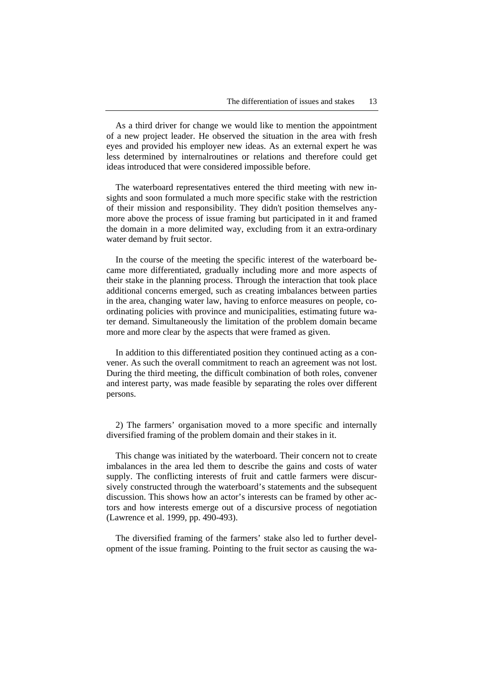As a third driver for change we would like to mention the appointment of a new project leader. He observed the situation in the area with fresh eyes and provided his employer new ideas. As an external expert he was less determined by internalroutines or relations and therefore could get ideas introduced that were considered impossible before.

The waterboard representatives entered the third meeting with new insights and soon formulated a much more specific stake with the restriction of their mission and responsibility. They didn't position themselves anymore above the process of issue framing but participated in it and framed the domain in a more delimited way, excluding from it an extra-ordinary water demand by fruit sector.

In the course of the meeting the specific interest of the waterboard became more differentiated, gradually including more and more aspects of their stake in the planning process. Through the interaction that took place additional concerns emerged, such as creating imbalances between parties in the area, changing water law, having to enforce measures on people, coordinating policies with province and municipalities, estimating future water demand. Simultaneously the limitation of the problem domain became more and more clear by the aspects that were framed as given.

In addition to this differentiated position they continued acting as a convener. As such the overall commitment to reach an agreement was not lost. During the third meeting, the difficult combination of both roles, convener and interest party, was made feasible by separating the roles over different persons.

2) The farmers' organisation moved to a more specific and internally diversified framing of the problem domain and their stakes in it.

This change was initiated by the waterboard. Their concern not to create imbalances in the area led them to describe the gains and costs of water supply. The conflicting interests of fruit and cattle farmers were discursively constructed through the waterboard's statements and the subsequent discussion. This shows how an actor's interests can be framed by other actors and how interests emerge out of a discursive process of negotiation (Lawrence et al. 1999, pp. 490-493).

The diversified framing of the farmers' stake also led to further development of the issue framing. Pointing to the fruit sector as causing the wa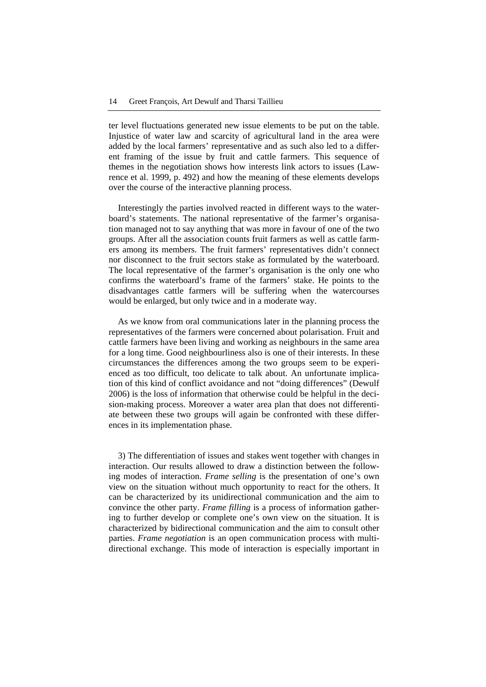ter level fluctuations generated new issue elements to be put on the table. Injustice of water law and scarcity of agricultural land in the area were added by the local farmers' representative and as such also led to a different framing of the issue by fruit and cattle farmers. This sequence of themes in the negotiation shows how interests link actors to issues (Lawrence et al. 1999, p. 492) and how the meaning of these elements develops over the course of the interactive planning process.

Interestingly the parties involved reacted in different ways to the waterboard's statements. The national representative of the farmer's organisation managed not to say anything that was more in favour of one of the two groups. After all the association counts fruit farmers as well as cattle farmers among its members. The fruit farmers' representatives didn't connect nor disconnect to the fruit sectors stake as formulated by the waterboard. The local representative of the farmer's organisation is the only one who confirms the waterboard's frame of the farmers' stake. He points to the disadvantages cattle farmers will be suffering when the watercourses would be enlarged, but only twice and in a moderate way.

As we know from oral communications later in the planning process the representatives of the farmers were concerned about polarisation. Fruit and cattle farmers have been living and working as neighbours in the same area for a long time. Good neighbourliness also is one of their interests. In these circumstances the differences among the two groups seem to be experienced as too difficult, too delicate to talk about. An unfortunate implication of this kind of conflict avoidance and not "doing differences" (Dewulf 2006) is the loss of information that otherwise could be helpful in the decision-making process. Moreover a water area plan that does not differentiate between these two groups will again be confronted with these differences in its implementation phase.

3) The differentiation of issues and stakes went together with changes in interaction. Our results allowed to draw a distinction between the following modes of interaction. *Frame selling* is the presentation of one's own view on the situation without much opportunity to react for the others. It can be characterized by its unidirectional communication and the aim to convince the other party. *Frame filling* is a process of information gathering to further develop or complete one's own view on the situation. It is characterized by bidirectional communication and the aim to consult other parties. *Frame negotiation* is an open communication process with multidirectional exchange. This mode of interaction is especially important in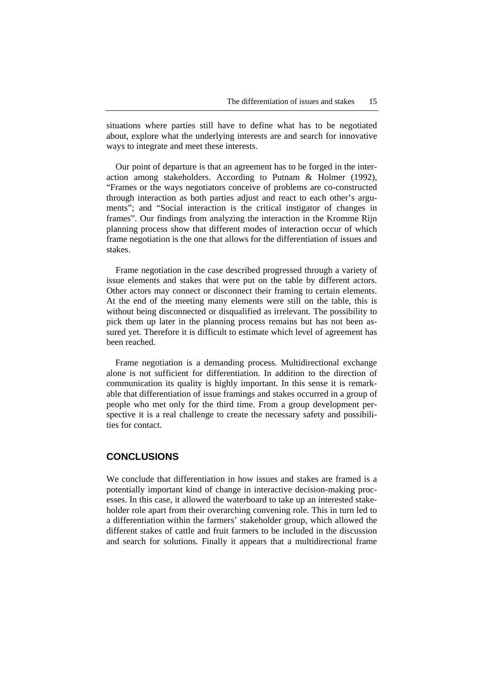situations where parties still have to define what has to be negotiated about, explore what the underlying interests are and search for innovative ways to integrate and meet these interests.

Our point of departure is that an agreement has to be forged in the interaction among stakeholders. According to Putnam & Holmer (1992), "Frames or the ways negotiators conceive of problems are co-constructed through interaction as both parties adjust and react to each other's arguments"; and "Social interaction is the critical instigator of changes in frames". Our findings from analyzing the interaction in the Kromme Rijn planning process show that different modes of interaction occur of which frame negotiation is the one that allows for the differentiation of issues and stakes.

Frame negotiation in the case described progressed through a variety of issue elements and stakes that were put on the table by different actors. Other actors may connect or disconnect their framing to certain elements. At the end of the meeting many elements were still on the table, this is without being disconnected or disqualified as irrelevant. The possibility to pick them up later in the planning process remains but has not been assured yet. Therefore it is difficult to estimate which level of agreement has been reached.

Frame negotiation is a demanding process. Multidirectional exchange alone is not sufficient for differentiation. In addition to the direction of communication its quality is highly important. In this sense it is remarkable that differentiation of issue framings and stakes occurred in a group of people who met only for the third time. From a group development perspective it is a real challenge to create the necessary safety and possibilities for contact.

## **CONCLUSIONS**

We conclude that differentiation in how issues and stakes are framed is a potentially important kind of change in interactive decision-making processes. In this case, it allowed the waterboard to take up an interested stakeholder role apart from their overarching convening role. This in turn led to a differentiation within the farmers' stakeholder group, which allowed the different stakes of cattle and fruit farmers to be included in the discussion and search for solutions. Finally it appears that a multidirectional frame